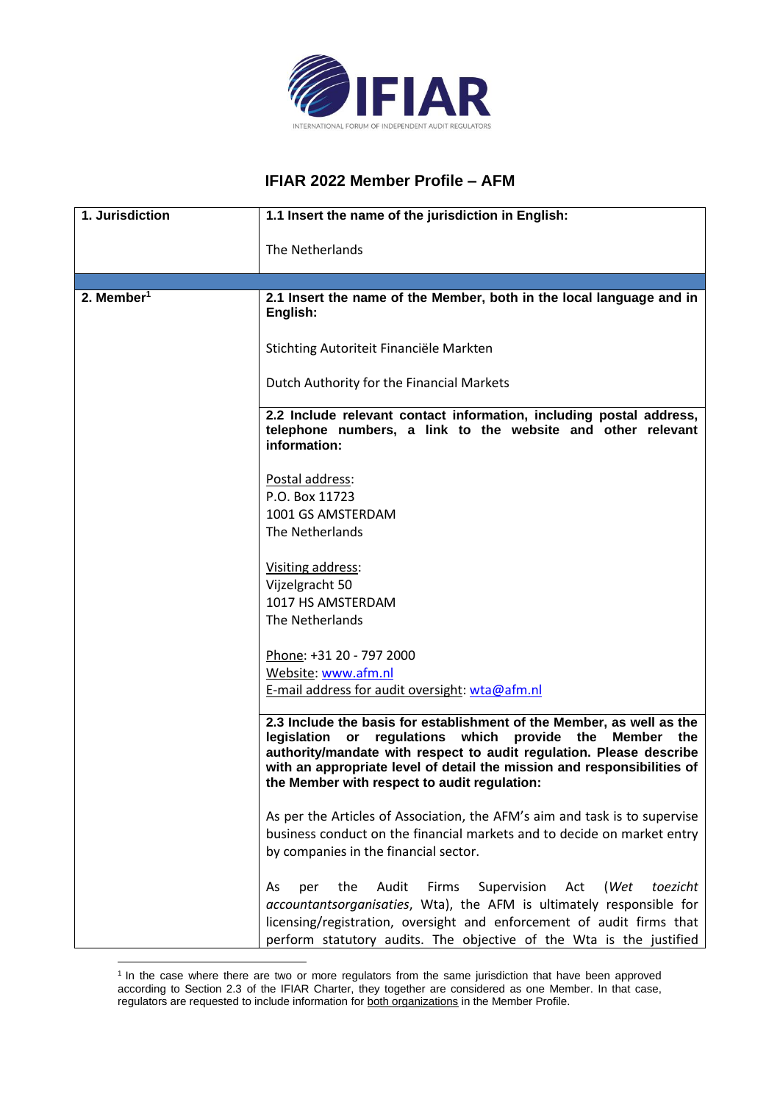

## **IFIAR 2022 Member Profile – AFM**

| 1. Jurisdiction        | 1.1 Insert the name of the jurisdiction in English:                                                                                                                                                                                                                                                                                            |
|------------------------|------------------------------------------------------------------------------------------------------------------------------------------------------------------------------------------------------------------------------------------------------------------------------------------------------------------------------------------------|
|                        | The Netherlands                                                                                                                                                                                                                                                                                                                                |
|                        |                                                                                                                                                                                                                                                                                                                                                |
| 2. Member <sup>1</sup> | 2.1 Insert the name of the Member, both in the local language and in<br>English:                                                                                                                                                                                                                                                               |
|                        | Stichting Autoriteit Financiële Markten                                                                                                                                                                                                                                                                                                        |
|                        | Dutch Authority for the Financial Markets                                                                                                                                                                                                                                                                                                      |
|                        | 2.2 Include relevant contact information, including postal address,<br>telephone numbers, a link to the website and other relevant<br>information:                                                                                                                                                                                             |
|                        | Postal address:                                                                                                                                                                                                                                                                                                                                |
|                        | P.O. Box 11723                                                                                                                                                                                                                                                                                                                                 |
|                        | 1001 GS AMSTERDAM                                                                                                                                                                                                                                                                                                                              |
|                        | The Netherlands                                                                                                                                                                                                                                                                                                                                |
|                        | Visiting address:                                                                                                                                                                                                                                                                                                                              |
|                        | Vijzelgracht 50                                                                                                                                                                                                                                                                                                                                |
|                        | 1017 HS AMSTERDAM                                                                                                                                                                                                                                                                                                                              |
|                        | The Netherlands                                                                                                                                                                                                                                                                                                                                |
|                        | Phone: +31 20 - 797 2000                                                                                                                                                                                                                                                                                                                       |
|                        | Website: www.afm.nl                                                                                                                                                                                                                                                                                                                            |
|                        | E-mail address for audit oversight: wta@afm.nl                                                                                                                                                                                                                                                                                                 |
|                        | 2.3 Include the basis for establishment of the Member, as well as the<br>regulations which<br>provide the Member<br>legislation<br>or<br>the<br>authority/mandate with respect to audit regulation. Please describe<br>with an appropriate level of detail the mission and responsibilities of<br>the Member with respect to audit regulation: |
|                        | As per the Articles of Association, the AFM's aim and task is to supervise<br>business conduct on the financial markets and to decide on market entry<br>by companies in the financial sector.                                                                                                                                                 |
|                        | Audit<br>Supervision<br>the<br>Firms<br>Act<br>(Wet<br>toezicht<br>As<br>per<br>accountantsorganisaties, Wta), the AFM is ultimately responsible for<br>licensing/registration, oversight and enforcement of audit firms that<br>perform statutory audits. The objective of the Wta is the justified                                           |

<sup>&</sup>lt;sup>1</sup> In the case where there are two or more regulators from the same jurisdiction that have been approved according to Section 2.3 of the IFIAR Charter, they together are considered as one Member. In that case, regulators are requested to include information for both organizations in the Member Profile.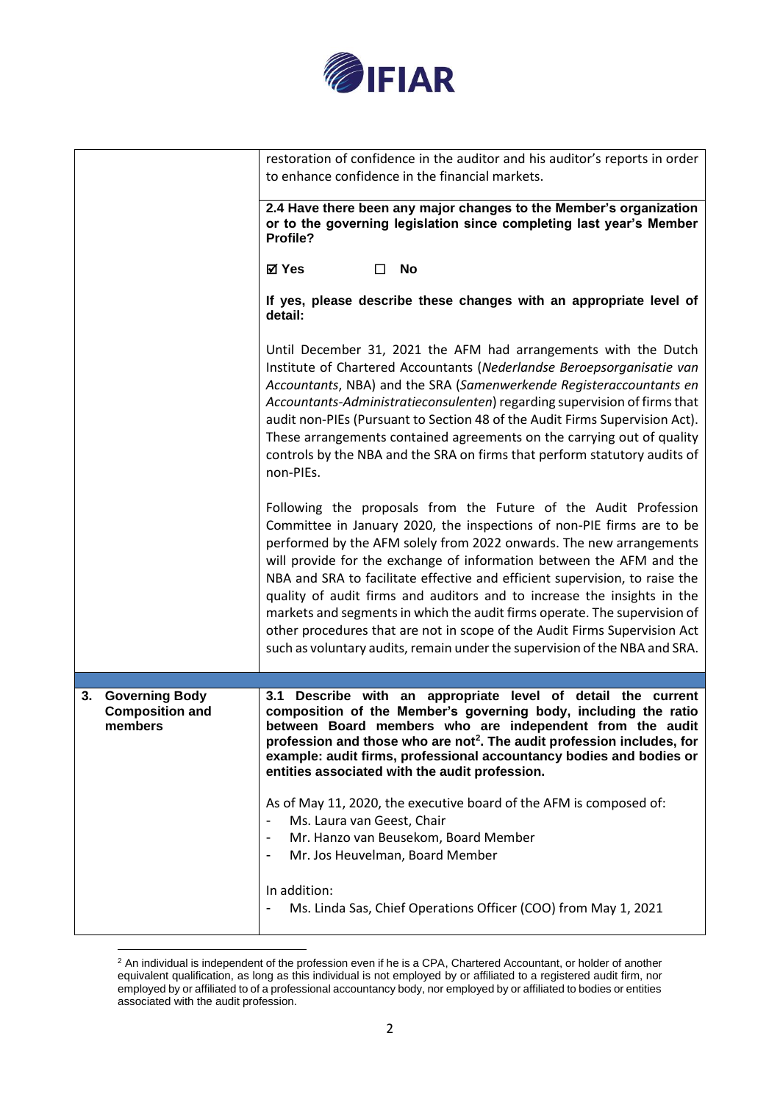

|                                                                  | restoration of confidence in the auditor and his auditor's reports in order<br>to enhance confidence in the financial markets.                                                                                                                                                                                                                                                                                                                                                                                                                                                                                                                                                            |
|------------------------------------------------------------------|-------------------------------------------------------------------------------------------------------------------------------------------------------------------------------------------------------------------------------------------------------------------------------------------------------------------------------------------------------------------------------------------------------------------------------------------------------------------------------------------------------------------------------------------------------------------------------------------------------------------------------------------------------------------------------------------|
|                                                                  | 2.4 Have there been any major changes to the Member's organization<br>or to the governing legislation since completing last year's Member<br>Profile?                                                                                                                                                                                                                                                                                                                                                                                                                                                                                                                                     |
|                                                                  | <b>⊠</b> Yes<br>$\Box$<br>No                                                                                                                                                                                                                                                                                                                                                                                                                                                                                                                                                                                                                                                              |
|                                                                  | If yes, please describe these changes with an appropriate level of<br>detail:                                                                                                                                                                                                                                                                                                                                                                                                                                                                                                                                                                                                             |
|                                                                  | Until December 31, 2021 the AFM had arrangements with the Dutch<br>Institute of Chartered Accountants (Nederlandse Beroepsorganisatie van<br>Accountants, NBA) and the SRA (Samenwerkende Registeraccountants en<br>Accountants-Administratieconsulenten) regarding supervision of firms that<br>audit non-PIEs (Pursuant to Section 48 of the Audit Firms Supervision Act).<br>These arrangements contained agreements on the carrying out of quality<br>controls by the NBA and the SRA on firms that perform statutory audits of<br>non-PIEs.                                                                                                                                          |
|                                                                  | Following the proposals from the Future of the Audit Profession<br>Committee in January 2020, the inspections of non-PIE firms are to be<br>performed by the AFM solely from 2022 onwards. The new arrangements<br>will provide for the exchange of information between the AFM and the<br>NBA and SRA to facilitate effective and efficient supervision, to raise the<br>quality of audit firms and auditors and to increase the insights in the<br>markets and segments in which the audit firms operate. The supervision of<br>other procedures that are not in scope of the Audit Firms Supervision Act<br>such as voluntary audits, remain under the supervision of the NBA and SRA. |
|                                                                  |                                                                                                                                                                                                                                                                                                                                                                                                                                                                                                                                                                                                                                                                                           |
| <b>Governing Body</b><br>3.<br><b>Composition and</b><br>members | Describe with an appropriate level of detail the current<br>3.1<br>composition of the Member's governing body, including the ratio<br>between Board members who are independent from the audit<br>profession and those who are not <sup>2</sup> . The audit profession includes, for<br>example: audit firms, professional accountancy bodies and bodies or<br>entities associated with the audit profession.                                                                                                                                                                                                                                                                             |
|                                                                  | As of May 11, 2020, the executive board of the AFM is composed of:<br>Ms. Laura van Geest, Chair                                                                                                                                                                                                                                                                                                                                                                                                                                                                                                                                                                                          |
|                                                                  | Mr. Hanzo van Beusekom, Board Member<br>Mr. Jos Heuvelman, Board Member<br>$\blacksquare$                                                                                                                                                                                                                                                                                                                                                                                                                                                                                                                                                                                                 |
|                                                                  | In addition:<br>Ms. Linda Sas, Chief Operations Officer (COO) from May 1, 2021                                                                                                                                                                                                                                                                                                                                                                                                                                                                                                                                                                                                            |

 $2$  An individual is independent of the profession even if he is a CPA, Chartered Accountant, or holder of another equivalent qualification, as long as this individual is not employed by or affiliated to a registered audit firm, nor employed by or affiliated to of a professional accountancy body, nor employed by or affiliated to bodies or entities associated with the audit profession.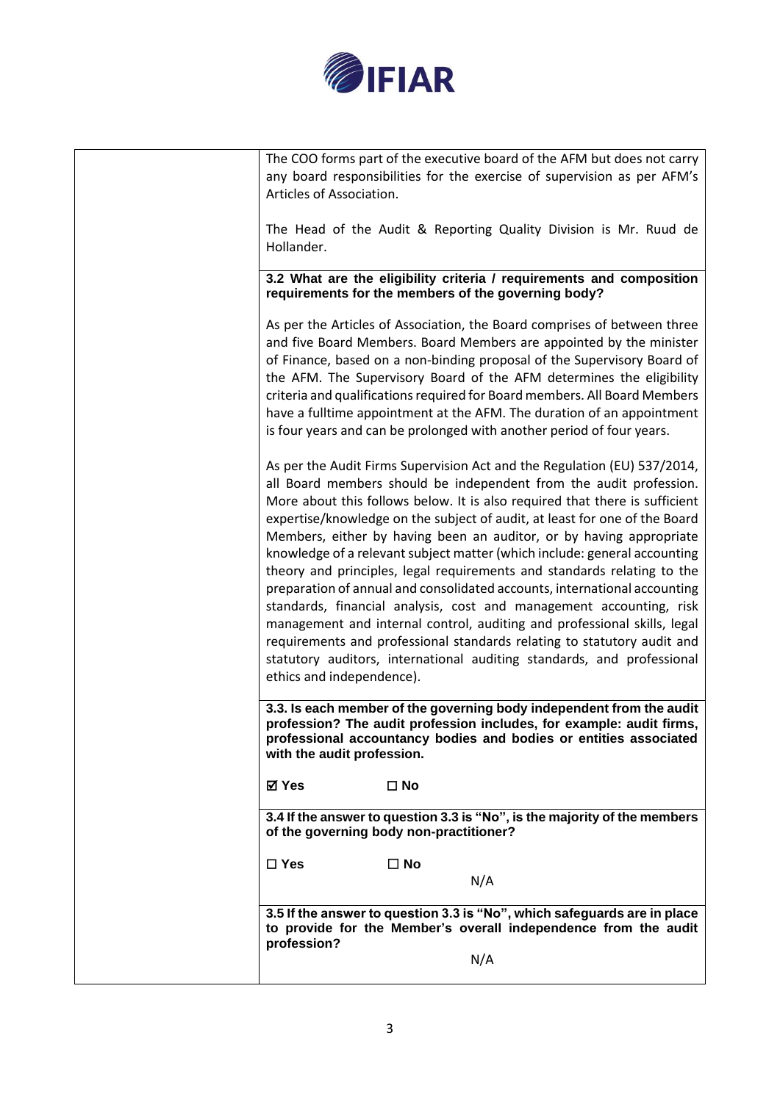

| The COO forms part of the executive board of the AFM but does not carry<br>any board responsibilities for the exercise of supervision as per AFM's<br>Articles of Association.                                                                                                                                                                                                                                                                                                                                                                                                                                                                                                                                                                                                                                                                                                                                                                               |
|--------------------------------------------------------------------------------------------------------------------------------------------------------------------------------------------------------------------------------------------------------------------------------------------------------------------------------------------------------------------------------------------------------------------------------------------------------------------------------------------------------------------------------------------------------------------------------------------------------------------------------------------------------------------------------------------------------------------------------------------------------------------------------------------------------------------------------------------------------------------------------------------------------------------------------------------------------------|
| The Head of the Audit & Reporting Quality Division is Mr. Ruud de<br>Hollander.                                                                                                                                                                                                                                                                                                                                                                                                                                                                                                                                                                                                                                                                                                                                                                                                                                                                              |
| 3.2 What are the eligibility criteria / requirements and composition<br>requirements for the members of the governing body?                                                                                                                                                                                                                                                                                                                                                                                                                                                                                                                                                                                                                                                                                                                                                                                                                                  |
| As per the Articles of Association, the Board comprises of between three<br>and five Board Members. Board Members are appointed by the minister<br>of Finance, based on a non-binding proposal of the Supervisory Board of<br>the AFM. The Supervisory Board of the AFM determines the eligibility<br>criteria and qualifications required for Board members. All Board Members<br>have a fulltime appointment at the AFM. The duration of an appointment<br>is four years and can be prolonged with another period of four years.                                                                                                                                                                                                                                                                                                                                                                                                                           |
| As per the Audit Firms Supervision Act and the Regulation (EU) 537/2014,<br>all Board members should be independent from the audit profession.<br>More about this follows below. It is also required that there is sufficient<br>expertise/knowledge on the subject of audit, at least for one of the Board<br>Members, either by having been an auditor, or by having appropriate<br>knowledge of a relevant subject matter (which include: general accounting<br>theory and principles, legal requirements and standards relating to the<br>preparation of annual and consolidated accounts, international accounting<br>standards, financial analysis, cost and management accounting, risk<br>management and internal control, auditing and professional skills, legal<br>requirements and professional standards relating to statutory audit and<br>statutory auditors, international auditing standards, and professional<br>ethics and independence). |
| 3.3. Is each member of the governing body independent from the audit<br>profession? The audit profession includes, for example: audit firms,<br>professional accountancy bodies and bodies or entities associated<br>with the audit profession.                                                                                                                                                                                                                                                                                                                                                                                                                                                                                                                                                                                                                                                                                                              |
| ⊠ Yes<br>$\square$ No                                                                                                                                                                                                                                                                                                                                                                                                                                                                                                                                                                                                                                                                                                                                                                                                                                                                                                                                        |
| 3.4 If the answer to question 3.3 is "No", is the majority of the members<br>of the governing body non-practitioner?                                                                                                                                                                                                                                                                                                                                                                                                                                                                                                                                                                                                                                                                                                                                                                                                                                         |
| $\square$ Yes<br>$\square$ No<br>N/A                                                                                                                                                                                                                                                                                                                                                                                                                                                                                                                                                                                                                                                                                                                                                                                                                                                                                                                         |
| 3.5 If the answer to question 3.3 is "No", which safeguards are in place<br>to provide for the Member's overall independence from the audit                                                                                                                                                                                                                                                                                                                                                                                                                                                                                                                                                                                                                                                                                                                                                                                                                  |
| profession?<br>N/A                                                                                                                                                                                                                                                                                                                                                                                                                                                                                                                                                                                                                                                                                                                                                                                                                                                                                                                                           |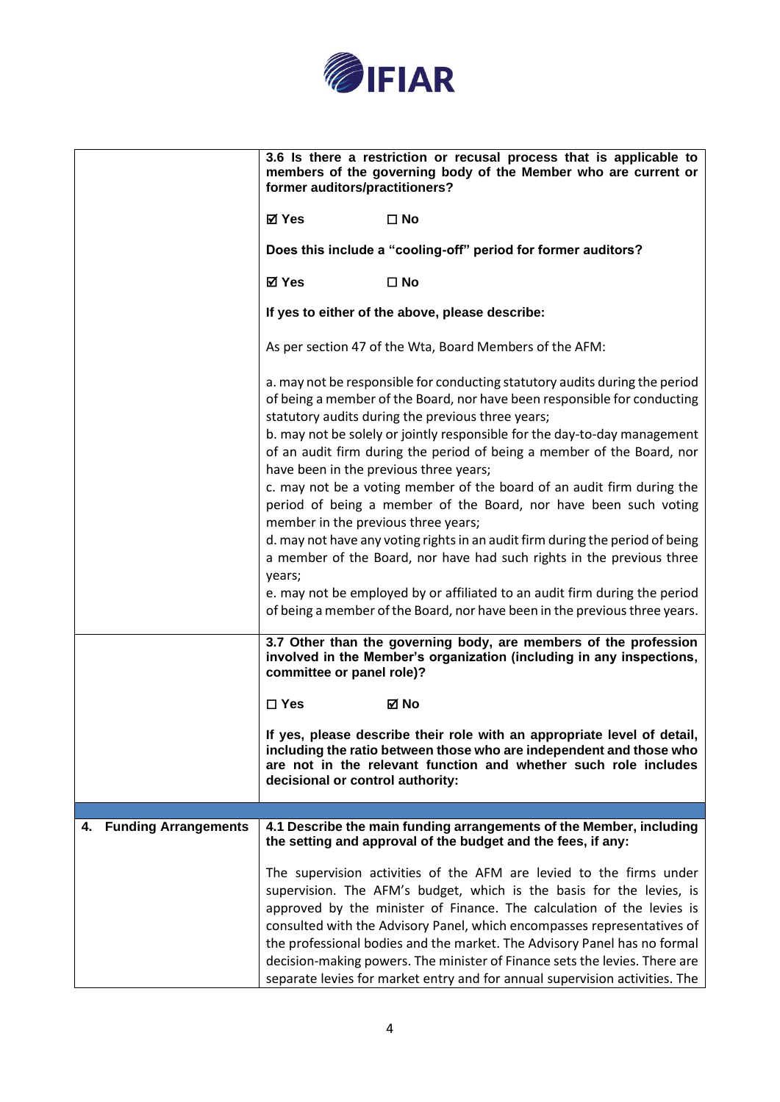

|                                   | 3.6 Is there a restriction or recusal process that is applicable to<br>members of the governing body of the Member who are current or<br>former auditors/practitioners?                                                                                                                                                                                                                                                                                                                                                                  |  |
|-----------------------------------|------------------------------------------------------------------------------------------------------------------------------------------------------------------------------------------------------------------------------------------------------------------------------------------------------------------------------------------------------------------------------------------------------------------------------------------------------------------------------------------------------------------------------------------|--|
|                                   | <b>⊠</b> Yes<br>$\square$ No                                                                                                                                                                                                                                                                                                                                                                                                                                                                                                             |  |
|                                   | Does this include a "cooling-off" period for former auditors?                                                                                                                                                                                                                                                                                                                                                                                                                                                                            |  |
|                                   | ⊠ Yes<br>$\square$ No                                                                                                                                                                                                                                                                                                                                                                                                                                                                                                                    |  |
|                                   | If yes to either of the above, please describe:                                                                                                                                                                                                                                                                                                                                                                                                                                                                                          |  |
|                                   | As per section 47 of the Wta, Board Members of the AFM:                                                                                                                                                                                                                                                                                                                                                                                                                                                                                  |  |
|                                   | a. may not be responsible for conducting statutory audits during the period<br>of being a member of the Board, nor have been responsible for conducting<br>statutory audits during the previous three years;                                                                                                                                                                                                                                                                                                                             |  |
|                                   | b. may not be solely or jointly responsible for the day-to-day management<br>of an audit firm during the period of being a member of the Board, nor<br>have been in the previous three years;                                                                                                                                                                                                                                                                                                                                            |  |
|                                   | c. may not be a voting member of the board of an audit firm during the<br>period of being a member of the Board, nor have been such voting<br>member in the previous three years;                                                                                                                                                                                                                                                                                                                                                        |  |
|                                   | d. may not have any voting rights in an audit firm during the period of being<br>a member of the Board, nor have had such rights in the previous three<br>years;                                                                                                                                                                                                                                                                                                                                                                         |  |
|                                   | e. may not be employed by or affiliated to an audit firm during the period<br>of being a member of the Board, nor have been in the previous three years.                                                                                                                                                                                                                                                                                                                                                                                 |  |
|                                   | 3.7 Other than the governing body, are members of the profession<br>involved in the Member's organization (including in any inspections,<br>committee or panel role)?                                                                                                                                                                                                                                                                                                                                                                    |  |
|                                   | $\Box$ Yes<br>⊠ No                                                                                                                                                                                                                                                                                                                                                                                                                                                                                                                       |  |
|                                   | If yes, please describe their role with an appropriate level of detail,<br>including the ratio between those who are independent and those who<br>are not in the relevant function and whether such role includes<br>decisional or control authority:                                                                                                                                                                                                                                                                                    |  |
|                                   |                                                                                                                                                                                                                                                                                                                                                                                                                                                                                                                                          |  |
| <b>Funding Arrangements</b><br>4. | 4.1 Describe the main funding arrangements of the Member, including<br>the setting and approval of the budget and the fees, if any:                                                                                                                                                                                                                                                                                                                                                                                                      |  |
|                                   | The supervision activities of the AFM are levied to the firms under<br>supervision. The AFM's budget, which is the basis for the levies, is<br>approved by the minister of Finance. The calculation of the levies is<br>consulted with the Advisory Panel, which encompasses representatives of<br>the professional bodies and the market. The Advisory Panel has no formal<br>decision-making powers. The minister of Finance sets the levies. There are<br>separate levies for market entry and for annual supervision activities. The |  |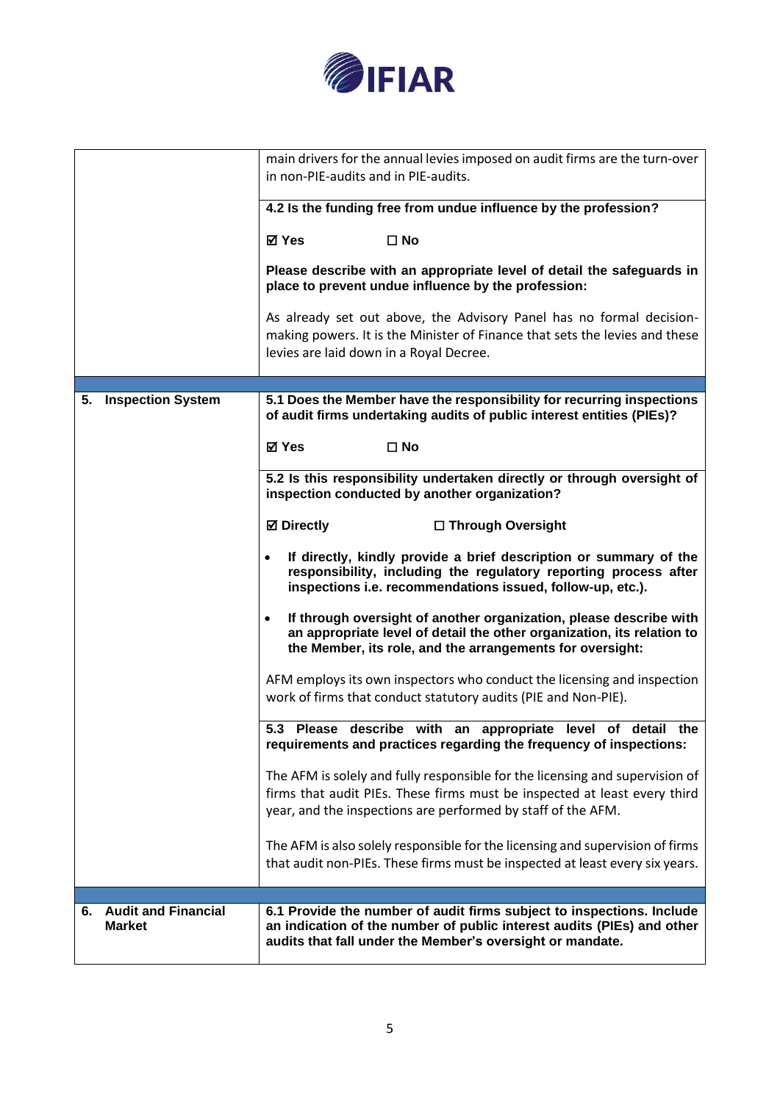

|                                                   | main drivers for the annual levies imposed on audit firms are the turn-over<br>in non-PIE-audits and in PIE-audits.                                                                                                    |  |
|---------------------------------------------------|------------------------------------------------------------------------------------------------------------------------------------------------------------------------------------------------------------------------|--|
|                                                   | 4.2 Is the funding free from undue influence by the profession?                                                                                                                                                        |  |
|                                                   | <b>⊠</b> Yes<br>$\square$ No                                                                                                                                                                                           |  |
|                                                   | Please describe with an appropriate level of detail the safeguards in<br>place to prevent undue influence by the profession:                                                                                           |  |
|                                                   | As already set out above, the Advisory Panel has no formal decision-<br>making powers. It is the Minister of Finance that sets the levies and these<br>levies are laid down in a Royal Decree.                         |  |
| <b>Inspection System</b><br>5.                    | 5.1 Does the Member have the responsibility for recurring inspections                                                                                                                                                  |  |
|                                                   | of audit firms undertaking audits of public interest entities (PIEs)?                                                                                                                                                  |  |
|                                                   | <b>⊠</b> Yes<br>$\square$ No                                                                                                                                                                                           |  |
|                                                   | 5.2 Is this responsibility undertaken directly or through oversight of<br>inspection conducted by another organization?                                                                                                |  |
|                                                   | <b>⊠</b> Directly<br>□ Through Oversight                                                                                                                                                                               |  |
|                                                   | If directly, kindly provide a brief description or summary of the<br>$\bullet$<br>responsibility, including the regulatory reporting process after<br>inspections i.e. recommendations issued, follow-up, etc.).       |  |
|                                                   | If through oversight of another organization, please describe with<br>$\bullet$<br>an appropriate level of detail the other organization, its relation to<br>the Member, its role, and the arrangements for oversight: |  |
|                                                   | AFM employs its own inspectors who conduct the licensing and inspection                                                                                                                                                |  |
|                                                   | work of firms that conduct statutory audits (PIE and Non-PIE).                                                                                                                                                         |  |
|                                                   | 5.3<br>Please describe with an<br>detail<br>level<br>the<br>appropriate<br>of<br>requirements and practices regarding the frequency of inspections:                                                                    |  |
|                                                   | The AFM is solely and fully responsible for the licensing and supervision of<br>firms that audit PIEs. These firms must be inspected at least every third                                                              |  |
|                                                   | year, and the inspections are performed by staff of the AFM.                                                                                                                                                           |  |
|                                                   | The AFM is also solely responsible for the licensing and supervision of firms<br>that audit non-PIEs. These firms must be inspected at least every six years.                                                          |  |
|                                                   |                                                                                                                                                                                                                        |  |
| <b>Audit and Financial</b><br>6.<br><b>Market</b> | 6.1 Provide the number of audit firms subject to inspections. Include<br>an indication of the number of public interest audits (PIEs) and other<br>audits that fall under the Member's oversight or mandate.           |  |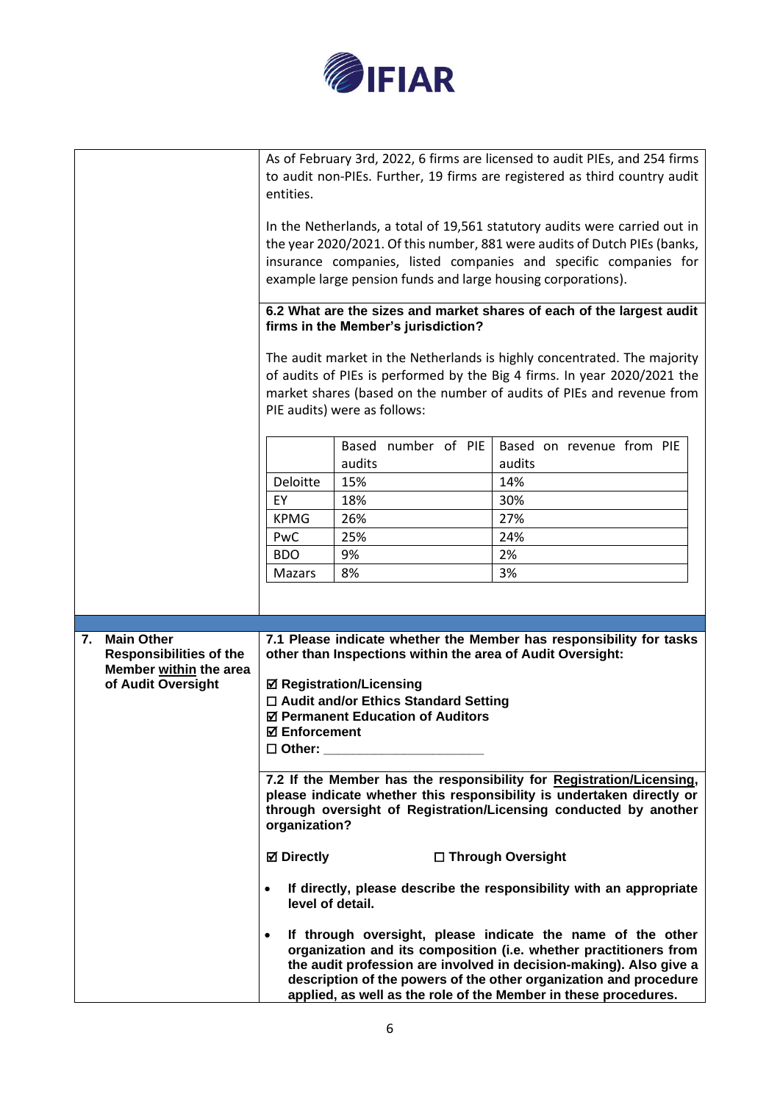

|                                                                                                           | As of February 3rd, 2022, 6 firms are licensed to audit PIEs, and 254 firms<br>to audit non-PIEs. Further, 19 firms are registered as third country audit<br>entities.<br>In the Netherlands, a total of 19,561 statutory audits were carried out in<br>the year 2020/2021. Of this number, 881 were audits of Dutch PIEs (banks,<br>insurance companies, listed companies and specific companies for<br>example large pension funds and large housing corporations).<br>6.2 What are the sizes and market shares of each of the largest audit<br>firms in the Member's jurisdiction?<br>The audit market in the Netherlands is highly concentrated. The majority<br>of audits of PIEs is performed by the Big 4 firms. In year 2020/2021 the<br>market shares (based on the number of audits of PIEs and revenue from<br>PIE audits) were as follows: |                                                                                                                                                                                                                                                                                                                                                                                                                                                                                                                                                                                                                                                                                                                                                                                                                                                                                                                                                                                                              |                                                                             |
|-----------------------------------------------------------------------------------------------------------|--------------------------------------------------------------------------------------------------------------------------------------------------------------------------------------------------------------------------------------------------------------------------------------------------------------------------------------------------------------------------------------------------------------------------------------------------------------------------------------------------------------------------------------------------------------------------------------------------------------------------------------------------------------------------------------------------------------------------------------------------------------------------------------------------------------------------------------------------------|--------------------------------------------------------------------------------------------------------------------------------------------------------------------------------------------------------------------------------------------------------------------------------------------------------------------------------------------------------------------------------------------------------------------------------------------------------------------------------------------------------------------------------------------------------------------------------------------------------------------------------------------------------------------------------------------------------------------------------------------------------------------------------------------------------------------------------------------------------------------------------------------------------------------------------------------------------------------------------------------------------------|-----------------------------------------------------------------------------|
|                                                                                                           | Deloitte<br>EY<br><b>KPMG</b><br>PwC<br><b>BDO</b><br><b>Mazars</b>                                                                                                                                                                                                                                                                                                                                                                                                                                                                                                                                                                                                                                                                                                                                                                                    | number of PIE<br>Based<br>audits<br>15%<br>18%<br>26%<br>25%<br>9%<br>8%                                                                                                                                                                                                                                                                                                                                                                                                                                                                                                                                                                                                                                                                                                                                                                                                                                                                                                                                     | Based on revenue from PIE<br>audits<br>14%<br>30%<br>27%<br>24%<br>2%<br>3% |
| <b>Main Other</b><br>7.<br><b>Responsibilities of the</b><br>Member within the area<br>of Audit Oversight | <b>Ø</b> Directly                                                                                                                                                                                                                                                                                                                                                                                                                                                                                                                                                                                                                                                                                                                                                                                                                                      | 7.1 Please indicate whether the Member has responsibility for tasks<br>other than Inspections within the area of Audit Oversight:<br><b>Ø Registration/Licensing</b><br>□ Audit and/or Ethics Standard Setting<br>☑ Permanent Education of Auditors<br><b>ØEnforcement</b><br>$\Box$ Other: $\_\_$<br>7.2 If the Member has the responsibility for Registration/Licensing,<br>please indicate whether this responsibility is undertaken directly or<br>through oversight of Registration/Licensing conducted by another<br>organization?<br>□ Through Oversight<br>If directly, please describe the responsibility with an appropriate<br>level of detail.<br>If through oversight, please indicate the name of the other<br>organization and its composition (i.e. whether practitioners from<br>the audit profession are involved in decision-making). Also give a<br>description of the powers of the other organization and procedure<br>applied, as well as the role of the Member in these procedures. |                                                                             |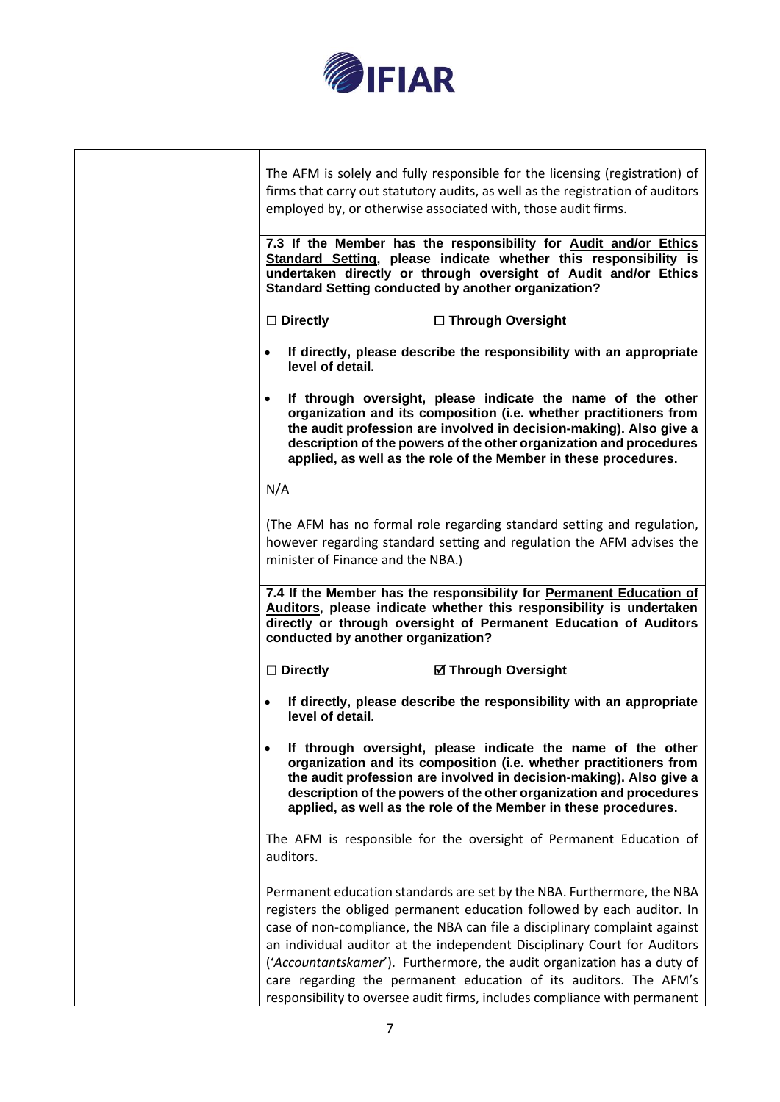

| The AFM is solely and fully responsible for the licensing (registration) of<br>firms that carry out statutory audits, as well as the registration of auditors<br>employed by, or otherwise associated with, those audit firms.                                                                                                                                                                                                                                                                                                         |
|----------------------------------------------------------------------------------------------------------------------------------------------------------------------------------------------------------------------------------------------------------------------------------------------------------------------------------------------------------------------------------------------------------------------------------------------------------------------------------------------------------------------------------------|
| 7.3 If the Member has the responsibility for Audit and/or Ethics<br>Standard Setting, please indicate whether this responsibility is<br>undertaken directly or through oversight of Audit and/or Ethics<br><b>Standard Setting conducted by another organization?</b>                                                                                                                                                                                                                                                                  |
| $\square$ Directly<br>□ Through Oversight                                                                                                                                                                                                                                                                                                                                                                                                                                                                                              |
| If directly, please describe the responsibility with an appropriate<br>level of detail.                                                                                                                                                                                                                                                                                                                                                                                                                                                |
| If through oversight, please indicate the name of the other<br>organization and its composition (i.e. whether practitioners from<br>the audit profession are involved in decision-making). Also give a<br>description of the powers of the other organization and procedures<br>applied, as well as the role of the Member in these procedures.                                                                                                                                                                                        |
| N/A                                                                                                                                                                                                                                                                                                                                                                                                                                                                                                                                    |
| (The AFM has no formal role regarding standard setting and regulation,<br>however regarding standard setting and regulation the AFM advises the<br>minister of Finance and the NBA.)                                                                                                                                                                                                                                                                                                                                                   |
| 7.4 If the Member has the responsibility for Permanent Education of<br>Auditors, please indicate whether this responsibility is undertaken<br>directly or through oversight of Permanent Education of Auditors<br>conducted by another organization?                                                                                                                                                                                                                                                                                   |
| $\square$ Directly<br><b>Ø Through Oversight</b>                                                                                                                                                                                                                                                                                                                                                                                                                                                                                       |
| If directly, please describe the responsibility with an appropriate<br>$\bullet$<br>level of detail.                                                                                                                                                                                                                                                                                                                                                                                                                                   |
| If through oversight, please indicate the name of the other<br>organization and its composition (i.e. whether practitioners from<br>the audit profession are involved in decision-making). Also give a<br>description of the powers of the other organization and procedures<br>applied, as well as the role of the Member in these procedures.                                                                                                                                                                                        |
| The AFM is responsible for the oversight of Permanent Education of<br>auditors.                                                                                                                                                                                                                                                                                                                                                                                                                                                        |
| Permanent education standards are set by the NBA. Furthermore, the NBA<br>registers the obliged permanent education followed by each auditor. In<br>case of non-compliance, the NBA can file a disciplinary complaint against<br>an individual auditor at the independent Disciplinary Court for Auditors<br>('Accountantskamer'). Furthermore, the audit organization has a duty of<br>care regarding the permanent education of its auditors. The AFM's<br>responsibility to oversee audit firms, includes compliance with permanent |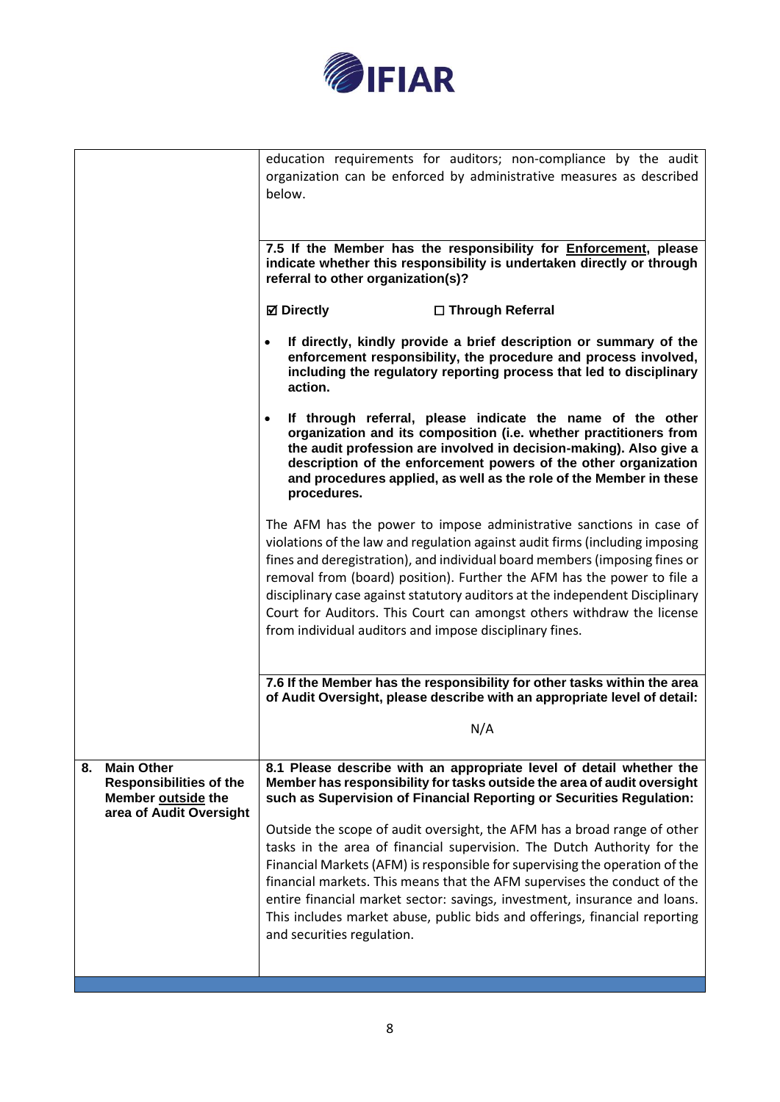

|                                                                                                            | education requirements for auditors; non-compliance by the audit<br>organization can be enforced by administrative measures as described<br>below.                                                                                                                                                                                                                                                                                                                                                                                |  |  |
|------------------------------------------------------------------------------------------------------------|-----------------------------------------------------------------------------------------------------------------------------------------------------------------------------------------------------------------------------------------------------------------------------------------------------------------------------------------------------------------------------------------------------------------------------------------------------------------------------------------------------------------------------------|--|--|
|                                                                                                            | 7.5 If the Member has the responsibility for <b>Enforcement</b> , please<br>indicate whether this responsibility is undertaken directly or through<br>referral to other organization(s)?                                                                                                                                                                                                                                                                                                                                          |  |  |
|                                                                                                            | <b>Ø</b> Directly<br>□ Through Referral                                                                                                                                                                                                                                                                                                                                                                                                                                                                                           |  |  |
|                                                                                                            | If directly, kindly provide a brief description or summary of the<br>enforcement responsibility, the procedure and process involved,<br>including the regulatory reporting process that led to disciplinary<br>action.                                                                                                                                                                                                                                                                                                            |  |  |
|                                                                                                            | If through referral, please indicate the name of the other<br>organization and its composition (i.e. whether practitioners from<br>the audit profession are involved in decision-making). Also give a<br>description of the enforcement powers of the other organization<br>and procedures applied, as well as the role of the Member in these<br>procedures.                                                                                                                                                                     |  |  |
|                                                                                                            | The AFM has the power to impose administrative sanctions in case of<br>violations of the law and regulation against audit firms (including imposing<br>fines and deregistration), and individual board members (imposing fines or<br>removal from (board) position). Further the AFM has the power to file a<br>disciplinary case against statutory auditors at the independent Disciplinary<br>Court for Auditors. This Court can amongst others withdraw the license<br>from individual auditors and impose disciplinary fines. |  |  |
|                                                                                                            | 7.6 If the Member has the responsibility for other tasks within the area<br>of Audit Oversight, please describe with an appropriate level of detail:                                                                                                                                                                                                                                                                                                                                                                              |  |  |
|                                                                                                            | N/A                                                                                                                                                                                                                                                                                                                                                                                                                                                                                                                               |  |  |
| <b>Main Other</b><br>8.<br><b>Responsibilities of the</b><br>Member outside the<br>area of Audit Oversight | 8.1 Please describe with an appropriate level of detail whether the<br>Member has responsibility for tasks outside the area of audit oversight<br>such as Supervision of Financial Reporting or Securities Regulation:                                                                                                                                                                                                                                                                                                            |  |  |
|                                                                                                            | Outside the scope of audit oversight, the AFM has a broad range of other<br>tasks in the area of financial supervision. The Dutch Authority for the<br>Financial Markets (AFM) is responsible for supervising the operation of the<br>financial markets. This means that the AFM supervises the conduct of the<br>entire financial market sector: savings, investment, insurance and loans.<br>This includes market abuse, public bids and offerings, financial reporting<br>and securities regulation.                           |  |  |